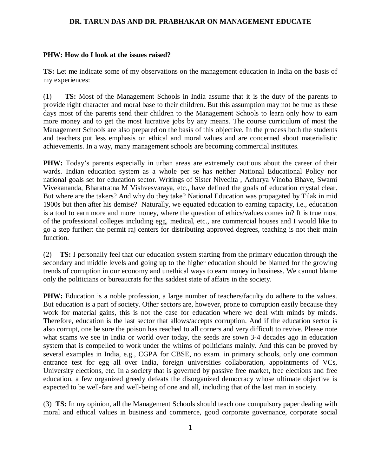## **DR. TARUN DAS AND DR. PRABHAKAR ON MANAGEMENT EDUCATE**

## **PHW: How do I look at the issues raised?**

**TS:** Let me indicate some of my observations on the management education in India on the basis of my experiences:

(1) **TS:** Most of the Management Schools in India assume that it is the duty of the parents to provide right character and moral base to their children. But this assumption may not be true as these days most of the parents send their children to the Management Schools to learn only how to earn more money and to get the most lucrative jobs by any means. The course curriculum of most the Management Schools are also prepared on the basis of this objective. In the process both the students and teachers put less emphasis on ethical and moral values and are concerned about materialistic achievements. In a way, many management schools are becoming commercial institutes.

**PHW:** Today's parents especially in urban areas are extremely cautious about the career of their wards. Indian education system as a whole per se has neither National Educational Policy nor national goals set for education sector. Writings of Sister Nivedita , Acharya Vinoba Bhave, Swami Vivekananda, Bharatratna M Vishvesvaraya, etc., have defined the goals of education crystal clear. But where are the takers? And why do they take? National Education was propagated by Tilak in mid 1900s but then after his demise? Naturally, we equated education to earning capacity, i.e., education is a tool to earn more and more money, where the question of ethics/values comes in? It is true most of the professional colleges including egg, medical, etc., are commercial houses and I would like to go a step further: the permit raj centers for distributing approved degrees, teaching is not their main function.

(2) **TS:** I personally feel that our education system starting from the primary education through the secondary and middle levels and going up to the higher education should be blamed for the growing trends of corruption in our economy and unethical ways to earn money in business. We cannot blame only the politicians or bureaucrats for this saddest state of affairs in the society.

**PHW:** Education is a noble profession, a large number of teachers/faculty do adhere to the values. But education is a part of society. Other sectors are, however, prone to corruption easily because they work for material gains, this is not the case for education where we deal with minds by minds. Therefore, education is the last sector that allows/accepts corruption. And if the education sector is also corrupt, one be sure the poison has reached to all corners and very difficult to revive. Please note what scams we see in India or world over today, the seeds are sown 3-4 decades ago in education system that is compelled to work under the whims of politicians mainly. And this can be proved by several examples in India, e.g., CGPA for CBSE, no exam. in primary schools, only one common entrance test for egg all over India, foreign universities collaboration, appointments of VCs, University elections, etc. In a society that is governed by passive free market, free elections and free education, a few organized greedy defeats the disorganized democracy whose ultimate objective is expected to be well-fare and well-being of one and all, including that of the last man in society.

(3) **TS:** In my opinion, all the Management Schools should teach one compulsory paper dealing with moral and ethical values in business and commerce, good corporate governance, corporate social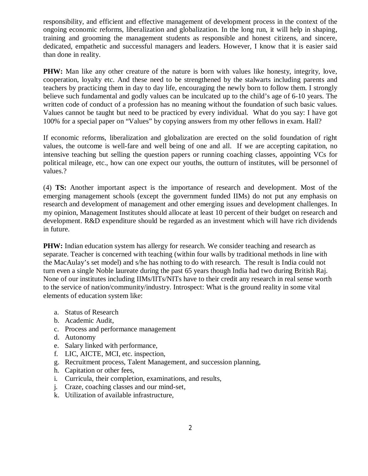responsibility, and efficient and effective management of development process in the context of the ongoing economic reforms, liberalization and globalization. In the long run, it will help in shaping, training and grooming the management students as responsible and honest citizens, and sincere, dedicated, empathetic and successful managers and leaders. However, I know that it is easier said than done in reality.

**PHW:** Man like any other creature of the nature is born with values like honesty, integrity, love, cooperation, loyalty etc. And these need to be strengthened by the stalwarts including parents and teachers by practicing them in day to day life, encouraging the newly born to follow them. I strongly believe such fundamental and godly values can be inculcated up to the child's age of 6-10 years. The written code of conduct of a profession has no meaning without the foundation of such basic values. Values cannot be taught but need to be practiced by every individual. What do you say: I have got 100% for a special paper on "Values" by copying answers from my other fellows in exam. Hall?

If economic reforms, liberalization and globalization are erected on the solid foundation of right values, the outcome is well-fare and well being of one and all. If we are accepting capitation, no intensive teaching but selling the question papers or running coaching classes, appointing VCs for political mileage, etc., how can one expect our youths, the outturn of institutes, will be personnel of values.?

(4) **TS:** Another important aspect is the importance of research and development. Most of the emerging management schools (except the government funded IIMs) do not put any emphasis on research and development of management and other emerging issues and development challenges. In my opinion, Management Institutes should allocate at least 10 percent of their budget on research and development. R&D expenditure should be regarded as an investment which will have rich dividends in future.

**PHW:** Indian education system has allergy for research. We consider teaching and research as separate. Teacher is concerned with teaching (within four walls by traditional methods in line with the MacAulay's set model) and s/he has nothing to do with research. The result is India could not turn even a single Noble laureate during the past 65 years though India had two during British Raj. None of our institutes including IIMs/IITs/NITs have to their credit any research in real sense worth to the service of nation/community/industry. Introspect: What is the ground reality in some vital elements of education system like:

- a. Status of Research
- b. Academic Audit,
- c. Process and performance management
- d. Autonomy
- e. Salary linked with performance,
- f. LIC, AICTE, MCI, etc. inspection,
- g. Recruitment process, Talent Management, and succession planning,
- h. Capitation or other fees,
- i. Curricula, their completion, examinations, and results,
- j. Craze, coaching classes and our mind-set,
- k. Utilization of available infrastructure,